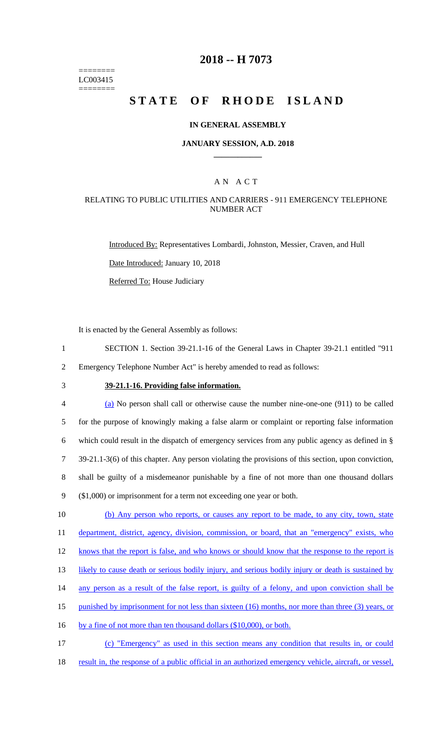======== LC003415 ========

### **2018 -- H 7073**

# STATE OF RHODE ISLAND

### **IN GENERAL ASSEMBLY**

### **JANUARY SESSION, A.D. 2018 \_\_\_\_\_\_\_\_\_\_\_\_**

### A N A C T

### RELATING TO PUBLIC UTILITIES AND CARRIERS - 911 EMERGENCY TELEPHONE NUMBER ACT

Introduced By: Representatives Lombardi, Johnston, Messier, Craven, and Hull Date Introduced: January 10, 2018

Referred To: House Judiciary

It is enacted by the General Assembly as follows:

- 1 SECTION 1. Section 39-21.1-16 of the General Laws in Chapter 39-21.1 entitled "911 2 Emergency Telephone Number Act" is hereby amended to read as follows:
- 

## 3 **39-21.1-16. Providing false information.**

 (a) No person shall call or otherwise cause the number nine-one-one (911) to be called for the purpose of knowingly making a false alarm or complaint or reporting false information which could result in the dispatch of emergency services from any public agency as defined in § 39-21.1-3(6) of this chapter. Any person violating the provisions of this section, upon conviction, shall be guilty of a misdemeanor punishable by a fine of not more than one thousand dollars (\$1,000) or imprisonment for a term not exceeding one year or both. 10 (b) Any person who reports, or causes any report to be made, to any city, town, state

11 department, district, agency, division, commission, or board, that an "emergency" exists, who

12 knows that the report is false, and who knows or should know that the response to the report is

- 13 likely to cause death or serious bodily injury, and serious bodily injury or death is sustained by
- 14 any person as a result of the false report, is guilty of a felony, and upon conviction shall be
- 15 punished by imprisonment for not less than sixteen (16) months, nor more than three (3) years, or
- 16 by a fine of not more than ten thousand dollars (\$10,000), or both.
- 17 (c) "Emergency" as used in this section means any condition that results in, or could
- 18 result in, the response of a public official in an authorized emergency vehicle, aircraft, or vessel,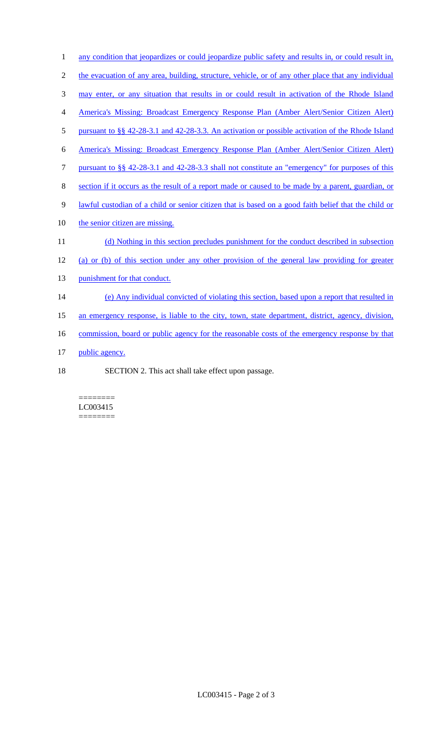- 1 any condition that jeopardizes or could jeopardize public safety and results in, or could result in,
- 2 the evacuation of any area, building, structure, vehicle, or of any other place that any individual
- 3 may enter, or any situation that results in or could result in activation of the Rhode Island
- 4 America's Missing: Broadcast Emergency Response Plan (Amber Alert/Senior Citizen Alert)
- 5 pursuant to §§ 42-28-3.1 and 42-28-3.3. An activation or possible activation of the Rhode Island
- 6 America's Missing: Broadcast Emergency Response Plan (Amber Alert/Senior Citizen Alert)
- 7 pursuant to §§ 42-28-3.1 and 42-28-3.3 shall not constitute an "emergency" for purposes of this
- 8 section if it occurs as the result of a report made or caused to be made by a parent, guardian, or
- 9 lawful custodian of a child or senior citizen that is based on a good faith belief that the child or
- 10 the senior citizen are missing.
- 11 (d) Nothing in this section precludes punishment for the conduct described in subsection
- 12 (a) or (b) of this section under any other provision of the general law providing for greater
- 13 punishment for that conduct.
- 14 (e) Any individual convicted of violating this section, based upon a report that resulted in
- 15 an emergency response, is liable to the city, town, state department, district, agency, division,
- 16 commission, board or public agency for the reasonable costs of the emergency response by that
- 17 public agency.
- 18 SECTION 2. This act shall take effect upon passage.

#### ======== LC003415 ========